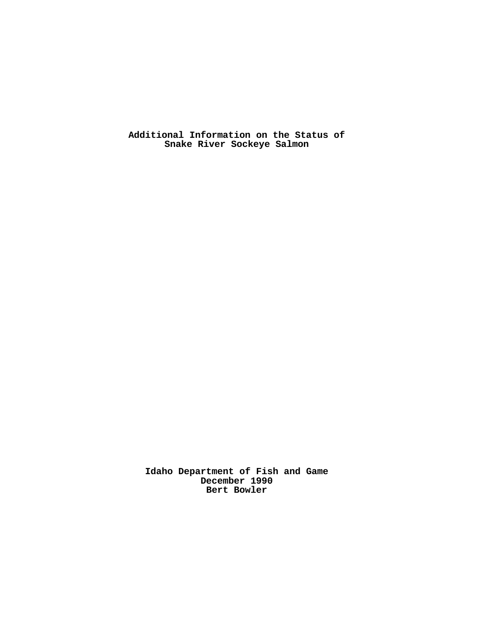**Additional Information on the Status of Snake River Sockeye Salmon** 

**Idaho Department of Fish and Game December 1990 Bert Bowler**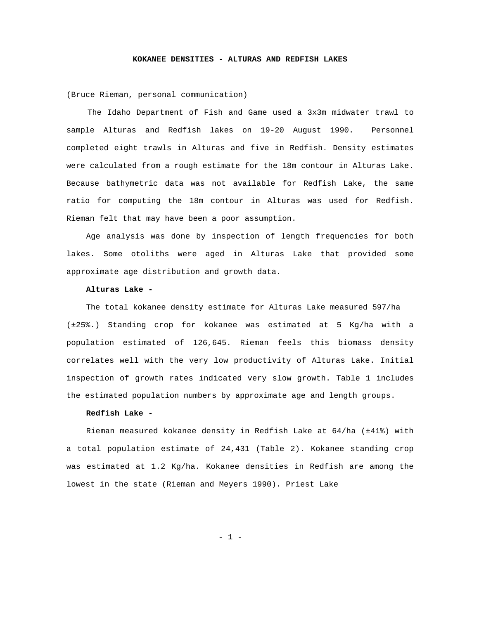#### **KOKANEE DENSITIES - ALTURAS AND REDFISH LAKES**

(Bruce Rieman, personal communication)

The Idaho Department of Fish and Game used a 3x3m midwater trawl to sample Alturas and Redfish lakes on 19-20 August 1990. Personnel completed eight trawls in Alturas and five in Redfish. Density estimates were calculated from a rough estimate for the 18m contour in Alturas Lake. Because bathymetric data was not available for Redfish Lake, the same ratio for computing the 18m contour in Alturas was used for Redfish. Rieman felt that may have been a poor assumption.

Age analysis was done by inspection of length frequencies for both lakes. Some otoliths were aged in Alturas Lake that provided some approximate age distribution and growth data.

## **Alturas Lake -**

The total kokanee density estimate for Alturas Lake measured 597/ha (±25%.) Standing crop for kokanee was estimated at 5 Kg/ha with a population estimated of 126,645. Rieman feels this biomass density correlates well with the very low productivity of Alturas Lake. Initial inspection of growth rates indicated very slow growth. Table 1 includes the estimated population numbers by approximate age and length groups.

# **Redfish Lake -**

Rieman measured kokanee density in Redfish Lake at 64/ha (±41%) with a total population estimate of 24,431 (Table 2). Kokanee standing crop was estimated at 1.2 Kg/ha. Kokanee densities in Redfish are among the lowest in the state (Rieman and Meyers 1990). Priest Lake

- 1 -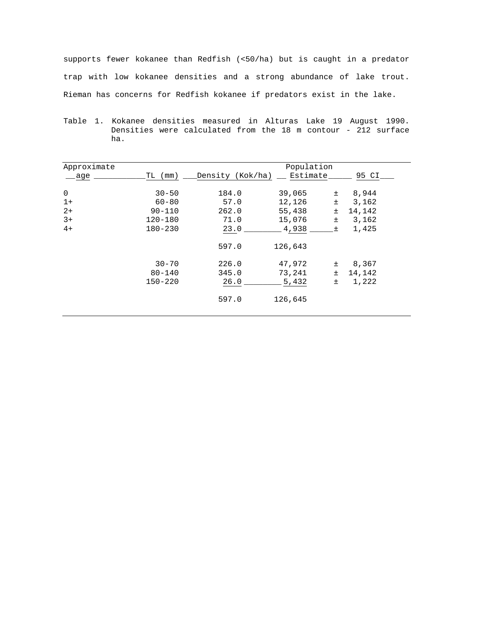supports fewer kokanee than Redfish (<50/ha) but is caught in a predator trap with low kokanee densities and a strong abundance of lake trout. Rieman has concerns for Redfish kokanee if predators exist in the lake.

Table 1. Kokanee densities measured in Alturas Lake 19 August 1990. Densities were calculated from the 18 m contour - 212 surface ha.

| Approximate |             | Population       |          |       |        |
|-------------|-------------|------------------|----------|-------|--------|
| age         | (mm)<br>TL  | Density (Kok/ha) | Estimate |       | 95 CI  |
| 0           | $30 - 50$   | 184.0            | 39,065   | $\pm$ | 8,944  |
| $1+$        | $60 - 80$   | 57.0             | 12,126   | $\pm$ | 3,162  |
| $2+$        | $90 - 110$  | 262.0            | 55,438   | $\pm$ | 14,142 |
| $3+$        | $120 - 180$ | 71.0             | 15,076   | $\pm$ | 3,162  |
| $4+$        | $180 - 230$ | 23.0             | 4,938    | 土     | 1,425  |
|             |             | 597.0            | 126,643  |       |        |
|             | $30 - 70$   | 226.0            | 47,972   | Ŧ     | 8,367  |
|             | $80 - 140$  | 345.0            | 73,241   | $\pm$ | 14,142 |
|             | $150 - 220$ | 26.0             | 5,432    | $\pm$ | 1,222  |
|             |             | 597.0            | 126,645  |       |        |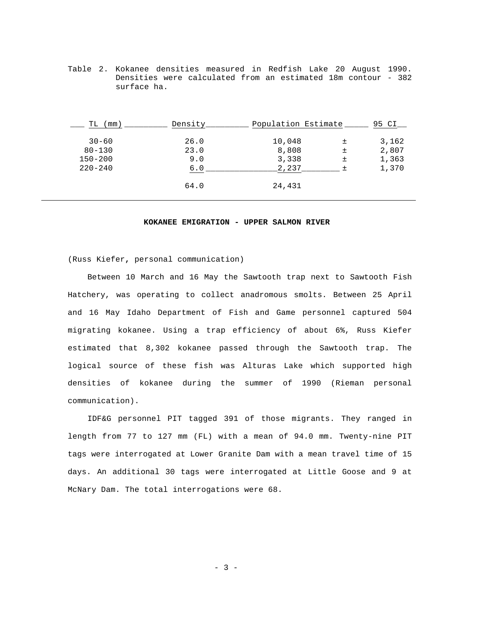Table 2. Kokanee densities measured in Redfish Lake 20 August 1990. Densities were calculated from an estimated 18m contour - 382 surface ha.

| ТL<br>mm)   | Density | Population Estimate |   | 95 CI |
|-------------|---------|---------------------|---|-------|
| $30 - 60$   | 26.0    | 10,048              | 土 | 3,162 |
| $80 - 130$  | 23.0    | 8,808               | 土 | 2,807 |
| $150 - 200$ | 9.0     | 3,338               | 土 | 1,363 |
| $220 - 240$ | 6.0     | 2,237               |   | 1,370 |
|             | 64.0    | 24,431              |   |       |

#### **KOKANEE EMIGRATION - UPPER SALMON RIVER**

(Russ Kiefer**,** personal communication)

Between 10 March and 16 May the Sawtooth trap next to Sawtooth Fish Hatchery, was operating to collect anadromous smolts. Between 25 April and 16 May Idaho Department of Fish and Game personnel captured 504 migrating kokanee. Using a trap efficiency of about 6%, Russ Kiefer estimated that 8,302 kokanee passed through the Sawtooth trap. The logical source of these fish was Alturas Lake which supported high densities of kokanee during the summer of 1990 (Rieman personal communication).

IDF&G personnel PIT tagged 391 of those migrants. They ranged in length from 77 to 127 mm (FL) with a mean of 94.0 mm. Twenty-nine PIT tags were interrogated at Lower Granite Dam with a mean travel time of 15 days. An additional 30 tags were interrogated at Little Goose and 9 at McNary Dam. The total interrogations were 68.

- 3 -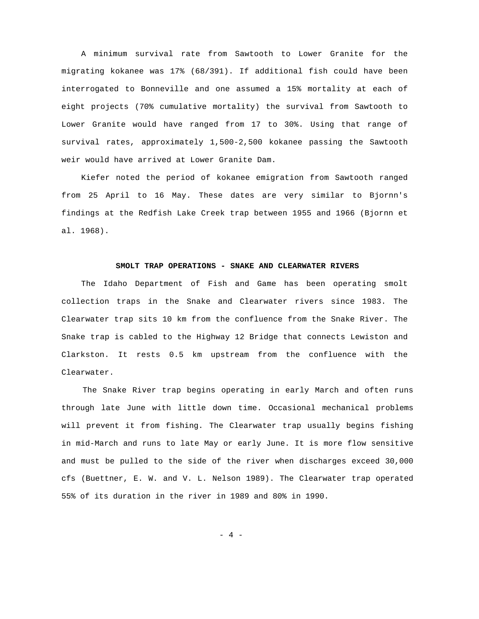A minimum survival rate from Sawtooth to Lower Granite for the migrating kokanee was 17% (68/391). If additional fish could have been interrogated to Bonneville and one assumed a 15% mortality at each of eight projects (70% cumulative mortality) the survival from Sawtooth to Lower Granite would have ranged from 17 to 30%. Using that range of survival rates, approximately 1,500-2,500 kokanee passing the Sawtooth weir would have arrived at Lower Granite Dam.

Kiefer noted the period of kokanee emigration from Sawtooth ranged from 25 April to 16 May. These dates are very similar to Bjornn's findings at the Redfish Lake Creek trap between 1955 and 1966 (Bjornn et al. 1968).

#### **SMOLT TRAP OPERATIONS - SNAKE AND CLEARWATER RIVERS**

The Idaho Department of Fish and Game has been operating smolt collection traps in the Snake and Clearwater rivers since 1983. The Clearwater trap sits 10 km from the confluence from the Snake River. The Snake trap is cabled to the Highway 12 Bridge that connects Lewiston and Clarkston. It rests 0.5 km upstream from the confluence with the Clearwater.

The Snake River trap begins operating in early March and often runs through late June with little down time. Occasional mechanical problems will prevent it from fishing. The Clearwater trap usually begins fishing in mid-March and runs to late May or early June. It is more flow sensitive and must be pulled to the side of the river when discharges exceed 30,000 cfs (Buettner, E. W. and V. L. Nelson 1989). The Clearwater trap operated 55% of its duration in the river in 1989 and 80% in 1990.

 $- 4 -$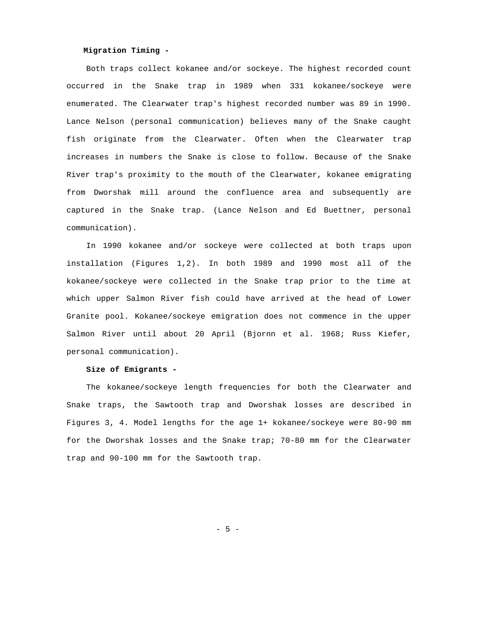# **Migration Timing -**

Both traps collect kokanee and/or sockeye. The highest recorded count occurred in the Snake trap in 1989 when 331 kokanee/sockeye were enumerated. The Clearwater trap's highest recorded number was 89 in 1990. Lance Nelson (personal communication) believes many of the Snake caught fish originate from the Clearwater. Often when the Clearwater trap increases in numbers the Snake is close to follow. Because of the Snake River trap's proximity to the mouth of the Clearwater, kokanee emigrating from Dworshak mill around the confluence area and subsequently are captured in the Snake trap. (Lance Nelson and Ed Buettner, personal communication).

In 1990 kokanee and/or sockeye were collected at both traps upon installation (Figures 1,2). In both 1989 and 1990 most all of the kokanee/sockeye were collected in the Snake trap prior to the time at which upper Salmon River fish could have arrived at the head of Lower Granite pool. Kokanee/sockeye emigration does not commence in the upper Salmon River until about 20 April (Bjornn et al. 1968; Russ Kiefer, personal communication).

### **Size of Emigrants -**

The kokanee/sockeye length frequencies for both the Clearwater and Snake traps, the Sawtooth trap and Dworshak losses are described in Figures 3, 4. Model lengths for the age 1+ kokanee/sockeye were 80-90 mm for the Dworshak losses and the Snake trap; 70-80 mm for the Clearwater trap and 90-100 mm for the Sawtooth trap.

 $-5 -$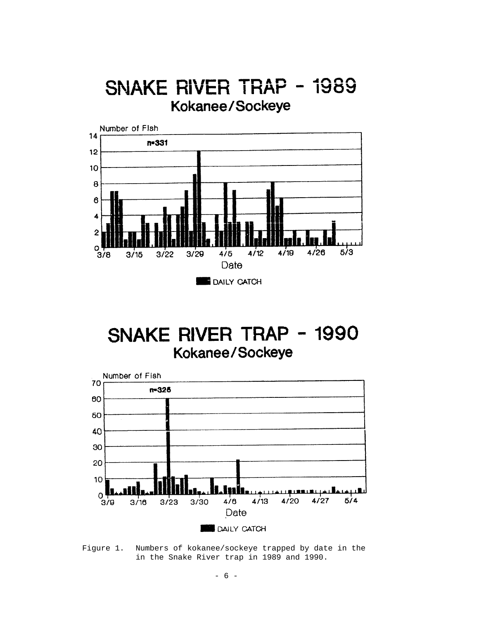# SNAKE RIVER TRAP - 1989 Kokanee/Sockeye



SNAKE RIVER TRAP - 1990 Kokanee/Sockeye



Figure 1. Numbers of kokanee/sockeye trapped by date in the in the Snake River trap in 1989 and 1990.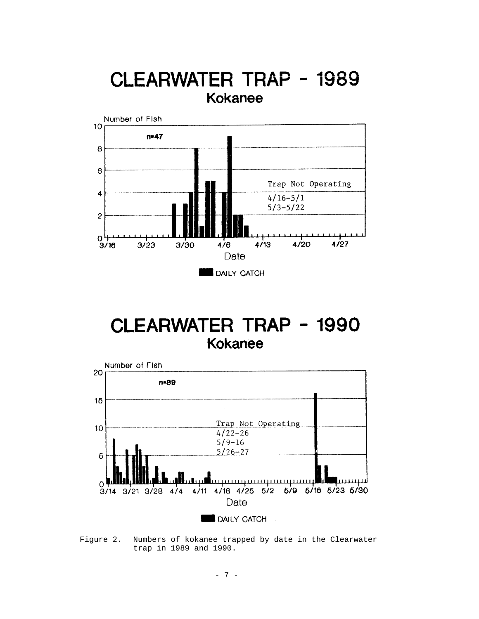

# CLEARWATER TRAP - 1990 **Kokanee**



Figure 2. Numbers of kokanee trapped by date in the Clearwater trap in 1989 and 1990.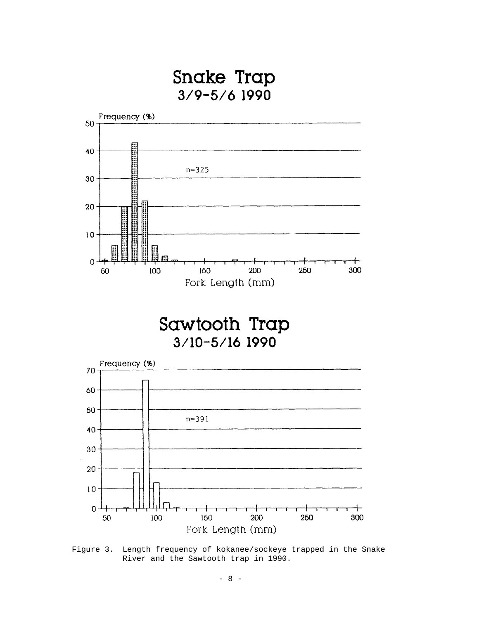



Sawtooth Trap 3/10-5/16 1990



Figure 3. Length frequency of kokanee/sockeye trapped in the Snake River and the Sawtooth trap in 1990.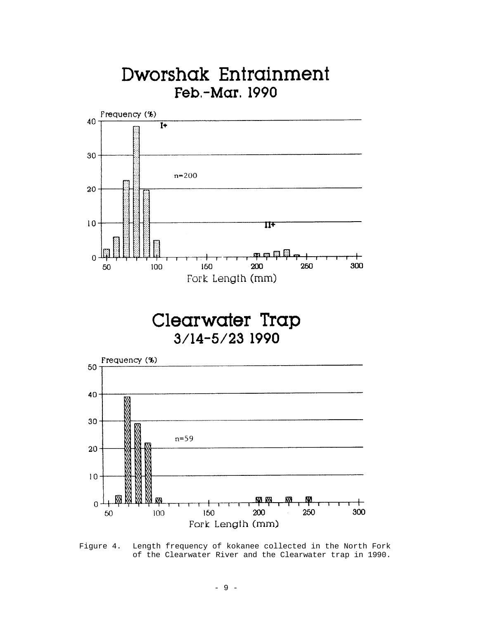

Figure 4. Length frequency of kokanee collected in the North Fork of the Clearwater River and the Clearwater trap in 1990.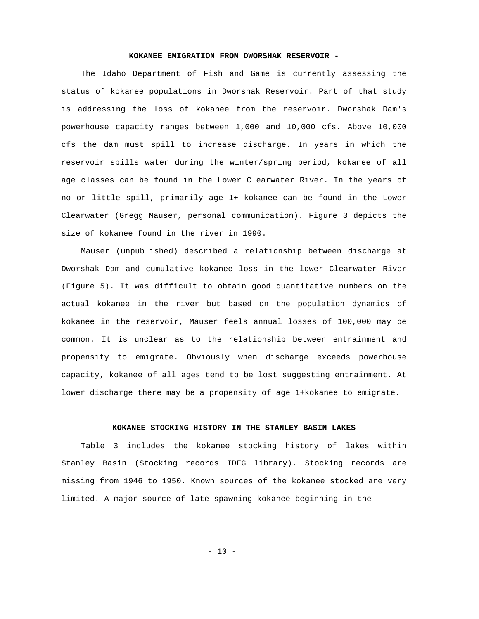# **KOKANEE EMIGRATION FROM DWORSHAK RESERVOIR -**

The Idaho Department of Fish and Game is currently assessing the status of kokanee populations in Dworshak Reservoir. Part of that study is addressing the loss of kokanee from the reservoir. Dworshak Dam's powerhouse capacity ranges between 1,000 and 10,000 cfs. Above 10,000 cfs the dam must spill to increase discharge. In years in which the reservoir spills water during the winter/spring period, kokanee of all age classes can be found in the Lower Clearwater River. In the years of no or little spill, primarily age 1+ kokanee can be found in the Lower Clearwater (Gregg Mauser, personal communication). Figure 3 depicts the size of kokanee found in the river in 1990.

Mauser (unpublished) described a relationship between discharge at Dworshak Dam and cumulative kokanee loss in the lower Clearwater River (Figure 5). It was difficult to obtain good quantitative numbers on the actual kokanee in the river but based on the population dynamics of kokanee in the reservoir, Mauser feels annual losses of 100,000 may be common. It is unclear as to the relationship between entrainment and propensity to emigrate. Obviously when discharge exceeds powerhouse capacity, kokanee of all ages tend to be lost suggesting entrainment. At lower discharge there may be a propensity of age 1+kokanee to emigrate.

# **KOKANEE STOCKING HISTORY IN THE STANLEY BASIN LAKES**

Table 3 includes the kokanee stocking history of lakes within Stanley Basin (Stocking records IDFG library). Stocking records are missing from 1946 to 1950. Known sources of the kokanee stocked are very limited. A major source of late spawning kokanee beginning in the

 $- 10 -$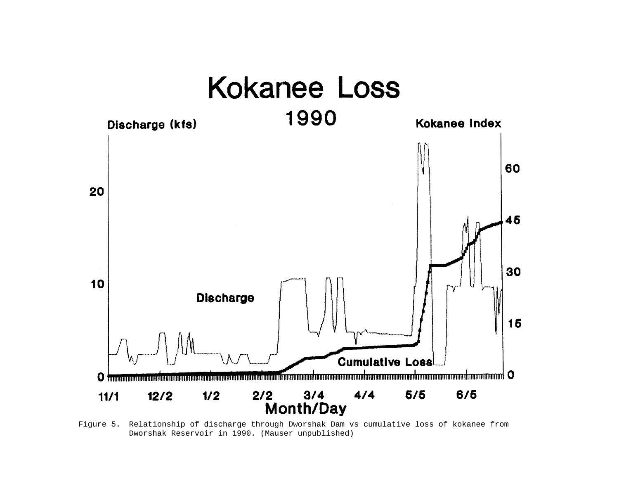

Figure 5. Relationship of discharge through Dworshak Dam vs cumulative loss of kokanee from Dworshak Reservoir in 1990. (Mauser unpublished)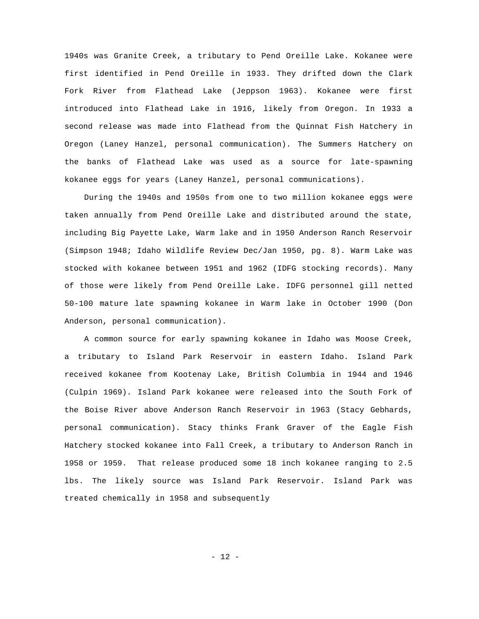1940s was Granite Creek, a tributary to Pend Oreille Lake. Kokanee were first identified in Pend Oreille in 1933. They drifted down the Clark Fork River from Flathead Lake (Jeppson 1963). Kokanee were first introduced into Flathead Lake in 1916, likely from Oregon. In 1933 a second release was made into Flathead from the Quinnat Fish Hatchery in Oregon (Laney Hanzel, personal communication). The Summers Hatchery on the banks of Flathead Lake was used as a source for late-spawning kokanee eggs for years (Laney Hanzel, personal communications).

During the 1940s and 1950s from one to two million kokanee eggs were taken annually from Pend Oreille Lake and distributed around the state, including Big Payette Lake, Warm lake and in 1950 Anderson Ranch Reservoir (Simpson 1948; Idaho Wildlife Review Dec/Jan 1950, pg. 8). Warm Lake was stocked with kokanee between 1951 and 1962 (IDFG stocking records). Many of those were likely from Pend Oreille Lake. IDFG personnel gill netted 50-100 mature late spawning kokanee in Warm lake in October 1990 (Don Anderson, personal communication).

A common source for early spawning kokanee in Idaho was Moose Creek, a tributary to Island Park Reservoir in eastern Idaho. Island Park received kokanee from Kootenay Lake, British Columbia in 1944 and 1946 (Culpin 1969). Island Park kokanee were released into the South Fork of the Boise River above Anderson Ranch Reservoir in 1963 (Stacy Gebhards, personal communication). Stacy thinks Frank Graver of the Eagle Fish Hatchery stocked kokanee into Fall Creek, a tributary to Anderson Ranch in 1958 or 1959. That release produced some 18 inch kokanee ranging to 2.5 lbs. The likely source was Island Park Reservoir. Island Park was treated chemically in 1958 and subsequently

 $- 12 -$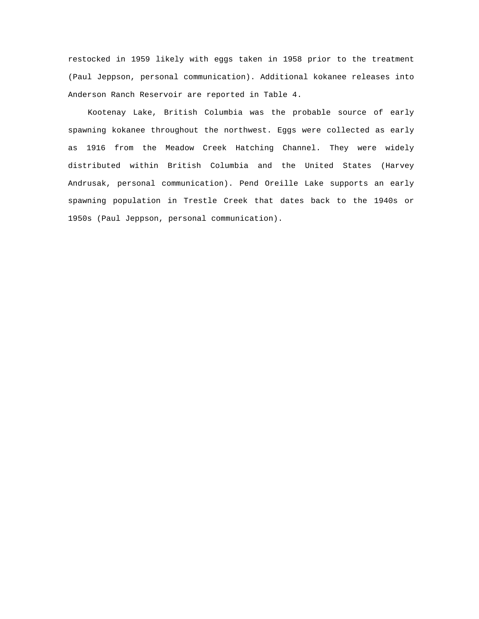restocked in 1959 likely with eggs taken in 1958 prior to the treatment (Paul Jeppson, personal communication). Additional kokanee releases into Anderson Ranch Reservoir are reported in Table 4.

Kootenay Lake, British Columbia was the probable source of early spawning kokanee throughout the northwest. Eggs were collected as early as 1916 from the Meadow Creek Hatching Channel. They were widely distributed within British Columbia and the United States (Harvey Andrusak, personal communication). Pend Oreille Lake supports an early spawning population in Trestle Creek that dates back to the 1940s or 1950s (Paul Jeppson, personal communication).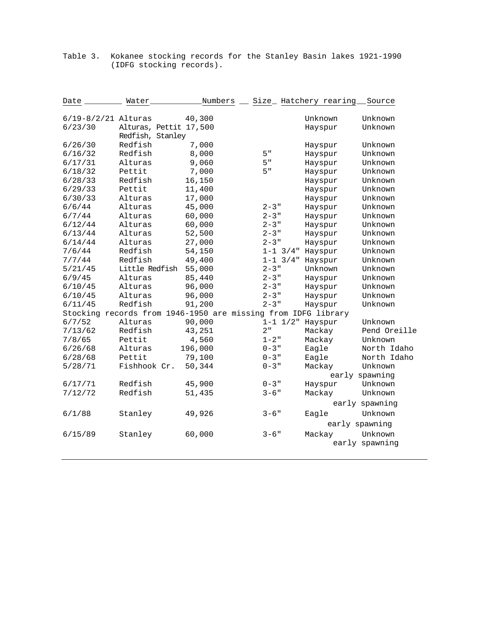| Date                                                          | Water                  | Numbers |                 | Size_ Hatchery rearing | Source         |
|---------------------------------------------------------------|------------------------|---------|-----------------|------------------------|----------------|
| $6/19 - 8/2/21$ Alturas                                       |                        | 40,300  |                 | Unknown                | Unknown        |
| 6/23/30                                                       | Alturas, Pettit 17,500 |         |                 | Hayspur                | Unknown        |
|                                                               | Redfish, Stanley       |         |                 |                        |                |
| 6/26/30                                                       | Redfish                | 7,000   |                 | Hayspur                | Unknown        |
| 6/16/32                                                       | Redfish                | 8,000   | 5"              | Hayspur                | Unknown        |
| 6/17/31                                                       | Alturas                | 9,060   | 5"              | Hayspur                | Unknown        |
| 6/18/32                                                       | Pettit                 | 7,000   | 5"              | Hayspur                | Unknown        |
| 6/28/33                                                       | Redfish                | 16,150  |                 | Hayspur                | Unknown        |
| 6/29/33                                                       | Pettit                 | 11,400  |                 | Hayspur                | Unknown        |
| 6/30/33                                                       | Alturas                | 17,000  |                 | Hayspur                | Unknown        |
| 6/6/44                                                        | Alturas                | 45,000  | $2 - 3$ "       | Hayspur                | Unknown        |
| 6/7/44                                                        | Alturas                | 60,000  | $2 - 3$ "       | Hayspur                | Unknown        |
| 6/12/44                                                       | Alturas                | 60,000  | $2 - 3$ "       | Hayspur                | Unknown        |
| 6/13/44                                                       | Alturas                | 52,500  | $2 - 3$ "       | Hayspur                | Unknown        |
| 6/14/44                                                       | Alturas                | 27,000  | $2 - 3$ "       | Hayspur                | Unknown        |
| 7/6/44                                                        | Redfish                | 54,150  | $1 - 1$ $3/4$ " | Hayspur                | Unknown        |
| 7/7/44                                                        | Redfish                | 49,400  | $1 - 1$ $3/4$ " | Hayspur                | Unknown        |
| 5/21/45                                                       | Little Redfish         | 55,000  | $2 - 3$ "       | Unknown                | Unknown        |
| 6/9/45                                                        | Alturas                | 85,440  | $2 - 3$ "       | Hayspur                | Unknown        |
| 6/10/45                                                       | Alturas                | 96,000  | $2 - 3$ "       | Hayspur                | Unknown        |
| 6/10/45                                                       | Alturas                | 96,000  | $2 - 3$ "       | Hayspur                | Unknown        |
| 6/11/45                                                       | Redfish                | 91,200  | $2 - 3$ "       | Hayspur                | Unknown        |
| Stocking records from 1946-1950 are missing from IDFG library |                        |         |                 |                        |                |
| 6/7/52                                                        | Alturas                | 90,000  | $1 - 1$ $1/2$ " | Hayspur                | Unknown        |
| 7/13/62                                                       | Redfish                | 43,251  | 2"              | Mackay                 | Pend Oreille   |
| 7/8/65                                                        | Pettit                 | 4,560   | $1 - 2$ "       | Mackay                 | Unknown        |
| 6/26/68                                                       | Alturas                | 196,000 | $0 - 3$ "       | Eagle                  | North Idaho    |
| 6/28/68                                                       | Pettit                 | 79,100  | $0 - 3$ "       | Eagle                  | North Idaho    |
| 5/28/71                                                       | Fishhook Cr.           | 50,344  | $0 - 3$ "       | Mackay                 | Unknown        |
|                                                               |                        |         |                 |                        | early spawning |
| 6/17/71                                                       | Redfish                | 45,900  | $0 - 3$ "       | Hayspur                | Unknown        |
| 7/12/72                                                       | Redfish                | 51,435  | $3 - 6$ "       | Mackay                 | Unknown        |
|                                                               |                        |         |                 |                        | early spawning |
| 6/1/88                                                        | Stanley                | 49,926  | $3 - 6$ "       | Eagle                  | Unknown        |
|                                                               |                        |         |                 |                        | early spawning |
| 6/15/89                                                       | Stanley                | 60,000  | $3 - 6$ "       | Mackay                 | Unknown        |
|                                                               |                        |         |                 |                        | early spawning |

Table 3. Kokanee stocking records for the Stanley Basin lakes 1921-1990 (IDFG stocking records).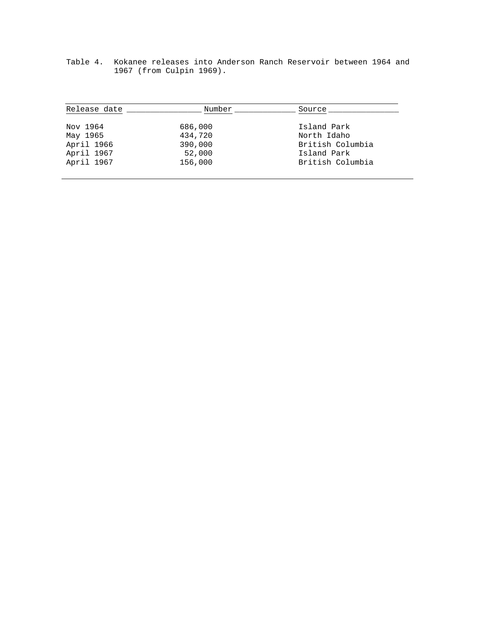| Release date | Number  | Source           |
|--------------|---------|------------------|
| Nov 1964     | 686,000 | Island Park      |
| May 1965     | 434,720 | North Idaho      |
| April 1966   | 390,000 | British Columbia |
| April 1967   | 52,000  | Island Park      |
| April 1967   | 156,000 | British Columbia |

Table 4. Kokanee releases into Anderson Ranch Reservoir between 1964 and 1967 (from Culpin 1969).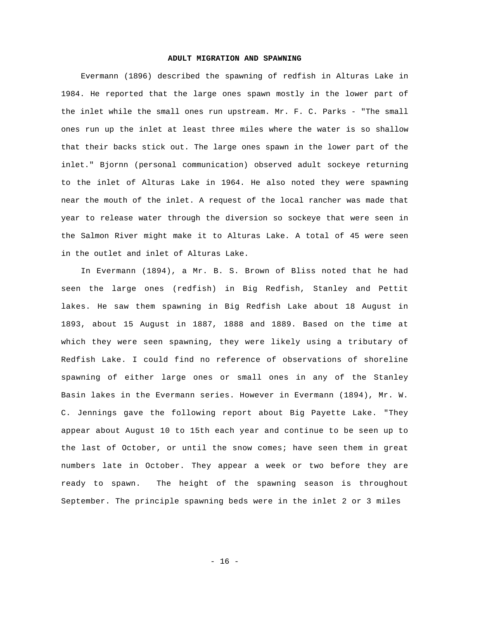#### **ADULT MIGRATION AND SPAWNING**

Evermann (1896) described the spawning of redfish in Alturas Lake in 1984. He reported that the large ones spawn mostly in the lower part of the inlet while the small ones run upstream. Mr. F. C. Parks - "The small ones run up the inlet at least three miles where the water is so shallow that their backs stick out. The large ones spawn in the lower part of the inlet." Bjornn (personal communication) observed adult sockeye returning to the inlet of Alturas Lake in 1964. He also noted they were spawning near the mouth of the inlet. A request of the local rancher was made that year to release water through the diversion so sockeye that were seen in the Salmon River might make it to Alturas Lake. A total of 45 were seen in the outlet and inlet of Alturas Lake.

In Evermann (1894), a Mr. B. S. Brown of Bliss noted that he had seen the large ones (redfish) in Big Redfish, Stanley and Pettit lakes. He saw them spawning in Big Redfish Lake about 18 August in 1893, about 15 August in 1887, 1888 and 1889. Based on the time at which they were seen spawning, they were likely using a tributary of Redfish Lake. I could find no reference of observations of shoreline spawning of either large ones or small ones in any of the Stanley Basin lakes in the Evermann series. However in Evermann (1894), Mr. W. C. Jennings gave the following report about Big Payette Lake. "They appear about August 10 to 15th each year and continue to be seen up to the last of October, or until the snow comes; have seen them in great numbers late in October. They appear a week or two before they are ready to spawn. The height of the spawning season is throughout September. The principle spawning beds were in the inlet 2 or 3 miles

 $- 16 -$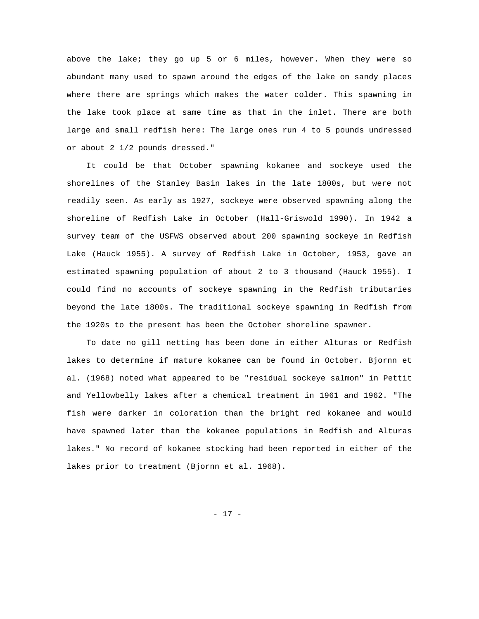above the lake; they go up 5 or 6 miles, however. When they were so abundant many used to spawn around the edges of the lake on sandy places where there are springs which makes the water colder. This spawning in the lake took place at same time as that in the inlet. There are both large and small redfish here: The large ones run 4 to 5 pounds undressed or about 2 1/2 pounds dressed."

It could be that October spawning kokanee and sockeye used the shorelines of the Stanley Basin lakes in the late 1800s, but were not readily seen. As early as 1927, sockeye were observed spawning along the shoreline of Redfish Lake in October (Hall-Griswold 1990). In 1942 a survey team of the USFWS observed about 200 spawning sockeye in Redfish Lake (Hauck 1955). A survey of Redfish Lake in October, 1953, gave an estimated spawning population of about 2 to 3 thousand (Hauck 1955). I could find no accounts of sockeye spawning in the Redfish tributaries beyond the late 1800s. The traditional sockeye spawning in Redfish from the 1920s to the present has been the October shoreline spawner.

To date no gill netting has been done in either Alturas or Redfish lakes to determine if mature kokanee can be found in October. Bjornn et al. (1968) noted what appeared to be "residual sockeye salmon" in Pettit and Yellowbelly lakes after a chemical treatment in 1961 and 1962. "The fish were darker in coloration than the bright red kokanee and would have spawned later than the kokanee populations in Redfish and Alturas lakes." No record of kokanee stocking had been reported in either of the lakes prior to treatment (Bjornn et al. 1968).

- 17 -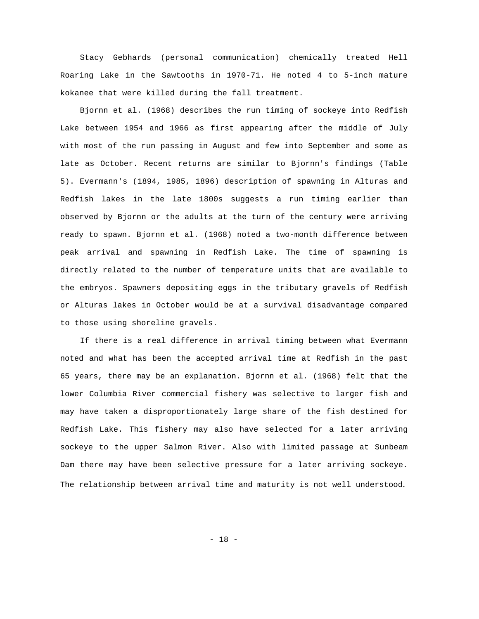Stacy Gebhards (personal communication) chemically treated Hell Roaring Lake in the Sawtooths in 1970-71. He noted 4 to 5-inch mature kokanee that were killed during the fall treatment.

Bjornn et al. (1968) describes the run timing of sockeye into Redfish Lake between 1954 and 1966 as first appearing after the middle of July with most of the run passing in August and few into September and some as late as October. Recent returns are similar to Bjornn's findings (Table 5). Evermann's (1894, 1985, 1896) description of spawning in Alturas and Redfish lakes in the late 1800s suggests a run timing earlier than observed by Bjornn or the adults at the turn of the century were arriving ready to spawn. Bjornn et al. (1968) noted a two-month difference between peak arrival and spawning in Redfish Lake. The time of spawning is directly related to the number of temperature units that are available to the embryos. Spawners depositing eggs in the tributary gravels of Redfish or Alturas lakes in October would be at a survival disadvantage compared to those using shoreline gravels.

If there is a real difference in arrival timing between what Evermann noted and what has been the accepted arrival time at Redfish in the past 65 years, there may be an explanation. Bjornn et al. (1968) felt that the lower Columbia River commercial fishery was selective to larger fish and may have taken a disproportionately large share of the fish destined for Redfish Lake. This fishery may also have selected for a later arriving sockeye to the upper Salmon River. Also with limited passage at Sunbeam Dam there may have been selective pressure for a later arriving sockeye. The relationship between arrival time and maturity is not well understood.

- 18 -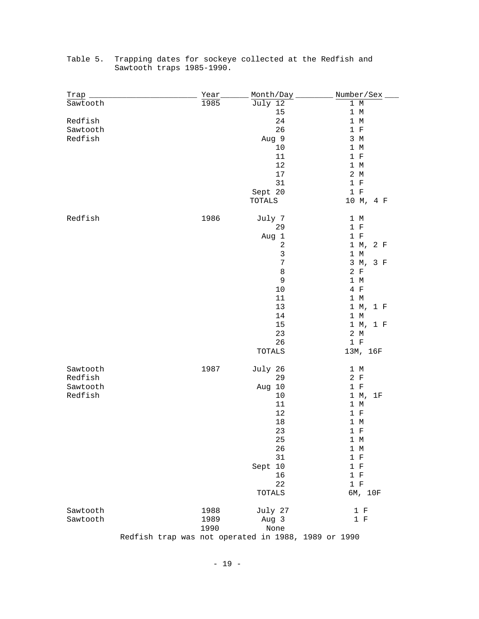| <u>Trap</u> | Year | Month/Day                                           | Number/Sex     |
|-------------|------|-----------------------------------------------------|----------------|
| Sawtooth    | 1985 | July 12                                             | $1~\mathrm{M}$ |
|             |      | 15                                                  | 1 M            |
| Redfish     |      | 24                                                  | 1 M            |
| Sawtooth    |      | 26                                                  | 1 F            |
| Redfish     |      | Aug 9                                               | 3 M            |
|             |      | 10                                                  | 1 M            |
|             |      | 11                                                  | 1 F            |
|             |      | $12$                                                | 1 M            |
|             |      | $17$                                                | 2 M            |
|             |      | 31                                                  | 1 F            |
|             |      | Sept 20                                             | 1 F            |
|             |      | TOTALS                                              | 10 M, 4 F      |
| Redfish     | 1986 | July 7                                              | 1 M            |
|             |      | 29                                                  | 1 F            |
|             |      | Aug 1                                               | 1 F            |
|             |      | $\sqrt{2}$                                          | 1 M,<br>2 F    |
|             |      | $\mathsf 3$                                         | 1 M            |
|             |      | $\boldsymbol{7}$                                    | 3 M, 3 F       |
|             |      | 8                                                   | 2 F            |
|             |      | 9                                                   | 1 M            |
|             |      | 10                                                  | $4$ F          |
|             |      | 11                                                  | 1 M            |
|             |      | 13                                                  | 1 M, 1 F       |
|             |      | 14                                                  | 1 M            |
|             |      | $15$                                                | 1 M, 1 F       |
|             |      | 23                                                  | 2 M            |
|             |      | 26                                                  | 1 F            |
|             |      | TOTALS                                              | 13M, 16F       |
| Sawtooth    | 1987 | July 26                                             | 1 M            |
| Redfish     |      | 29                                                  | 2 F            |
| Sawtooth    |      | Aug 10                                              | 1 F            |
| Redfish     |      | 10                                                  | 1 M,<br>1F     |
|             |      | 11                                                  | 1 M            |
|             |      | 12                                                  | 1 F            |
|             |      | $18\,$                                              | 1 M            |
|             |      | 23                                                  | 1 F            |
|             |      | 25                                                  | 1 M            |
|             |      | 26                                                  | 1 M            |
|             |      | 31                                                  | 1 F            |
|             |      | Sept 10                                             | 1 F            |
|             |      | 16                                                  | $1 F$          |
|             |      | 22                                                  | $1 F$          |
|             |      | TOTALS                                              | 6M, 10F        |
| Sawtooth    | 1988 | July 27                                             | 1 F            |
| Sawtooth    | 1989 | Aug 3                                               | 1 F            |
|             | 1990 | None                                                |                |
|             |      | Redfish trap was not operated in 1988, 1989 or 1990 |                |

# Table 5. Trapping dates for sockeye collected at the Redfish and Sawtooth traps 1985-1990.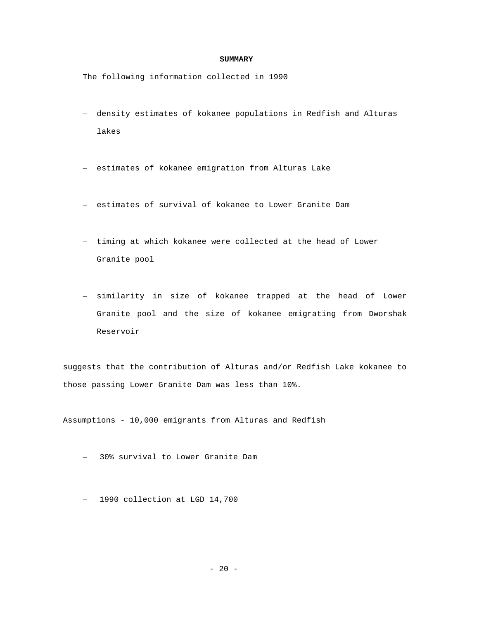#### **SUMMARY**

The following information collected in 1990

- − density estimates of kokanee populations in Redfish and Alturas lakes
- − estimates of kokanee emigration from Alturas Lake
- − estimates of survival of kokanee to Lower Granite Dam
- − timing at which kokanee were collected at the head of Lower Granite pool
- − similarity in size of kokanee trapped at the head of Lower Granite pool and the size of kokanee emigrating from Dworshak Reservoir

suggests that the contribution of Alturas and/or Redfish Lake kokanee to those passing Lower Granite Dam was less than 10%.

Assumptions - 10,000 emigrants from Alturas and Redfish

- − 30% survival to Lower Granite Dam
- − 1990 collection at LGD 14,700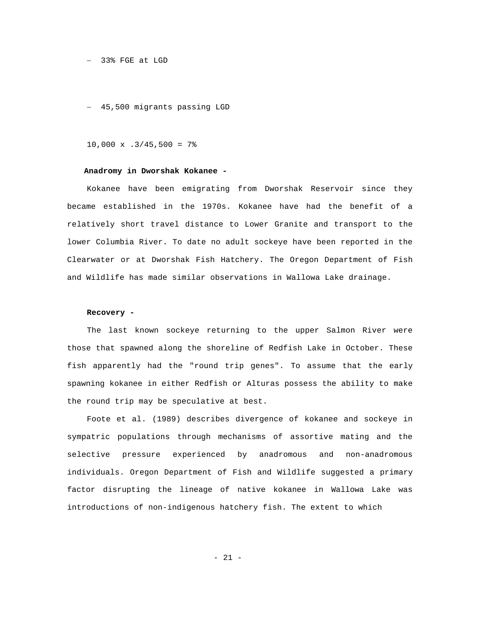#### − 33% FGE at LGD

− 45,500 migrants passing LGD

#### $10,000 \times .3/45,500 = 7$ %

# **Anadromy in Dworshak Kokanee -**

Kokanee have been emigrating from Dworshak Reservoir since they became established in the 1970s. Kokanee have had the benefit of a relatively short travel distance to Lower Granite and transport to the lower Columbia River. To date no adult sockeye have been reported in the Clearwater or at Dworshak Fish Hatchery. The Oregon Department of Fish and Wildlife has made similar observations in Wallowa Lake drainage.

#### **Recovery -**

The last known sockeye returning to the upper Salmon River were those that spawned along the shoreline of Redfish Lake in October. These fish apparently had the "round trip genes". To assume that the early spawning kokanee in either Redfish or Alturas possess the ability to make the round trip may be speculative at best.

Foote et al. (1989) describes divergence of kokanee and sockeye in sympatric populations through mechanisms of assortive mating and the selective pressure experienced by anadromous and non-anadromous individuals. Oregon Department of Fish and Wildlife suggested a primary factor disrupting the lineage of native kokanee in Wallowa Lake was introductions of non-indigenous hatchery fish. The extent to which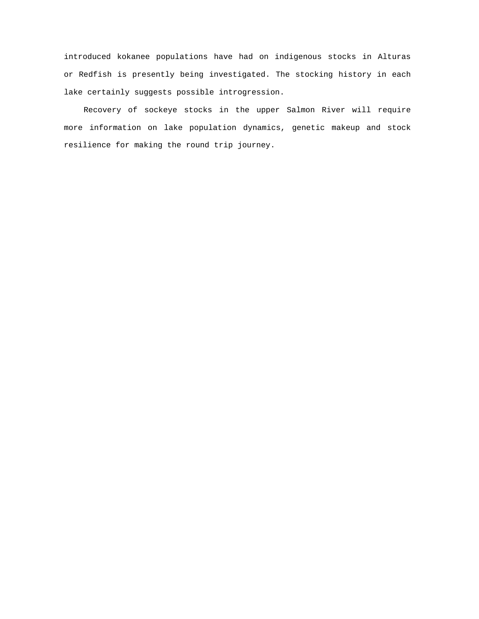introduced kokanee populations have had on indigenous stocks in Alturas or Redfish is presently being investigated. The stocking history in each lake certainly suggests possible introgression.

Recovery of sockeye stocks in the upper Salmon River will require more information on lake population dynamics, genetic makeup and stock resilience for making the round trip journey.